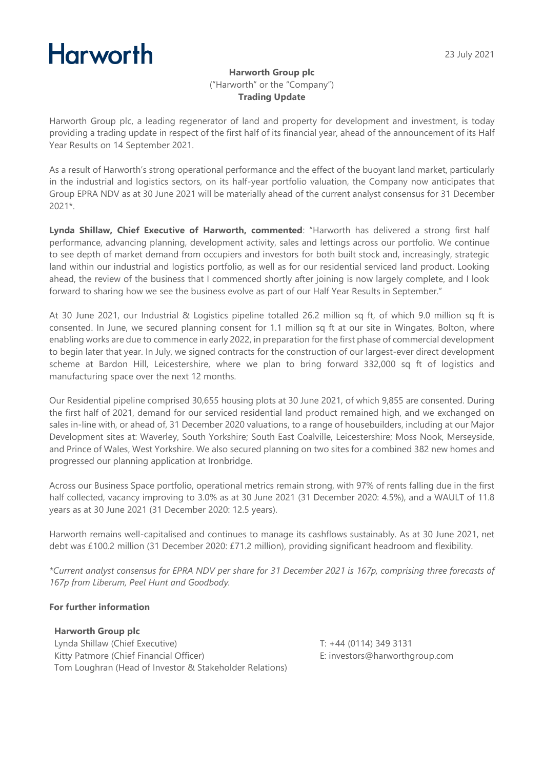#### 23 July 2021

# **Harworth**

## **Harworth Group plc** ("Harworth" or the "Company") **Trading Update**

Harworth Group plc, a leading regenerator of land and property for development and investment, is today providing a trading update in respect of the first half of its financial year, ahead of the announcement of its Half Year Results on 14 September 2021.

As a result of Harworth's strong operational performance and the effect of the buoyant land market, particularly in the industrial and logistics sectors, on its half-year portfolio valuation, the Company now anticipates that Group EPRA NDV as at 30 June 2021 will be materially ahead of the current analyst consensus for 31 December 2021\*.

**Lynda Shillaw, Chief Executive of Harworth, commented**: "Harworth has delivered a strong first half performance, advancing planning, development activity, sales and lettings across our portfolio. We continue to see depth of market demand from occupiers and investors for both built stock and, increasingly, strategic land within our industrial and logistics portfolio, as well as for our residential serviced land product. Looking ahead, the review of the business that I commenced shortly after joining is now largely complete, and I look forward to sharing how we see the business evolve as part of our Half Year Results in September."

At 30 June 2021, our Industrial & Logistics pipeline totalled 26.2 million sq ft, of which 9.0 million sq ft is consented. In June, we secured planning consent for 1.1 million sq ft at our site in Wingates, Bolton, where enabling works are due to commence in early 2022, in preparation for the first phase of commercial development to begin later that year. In July, we signed contracts for the construction of our largest-ever direct development scheme at Bardon Hill, Leicestershire, where we plan to bring forward 332,000 sq ft of logistics and manufacturing space over the next 12 months.

Our Residential pipeline comprised 30,655 housing plots at 30 June 2021, of which 9,855 are consented. During the first half of 2021, demand for our serviced residential land product remained high, and we exchanged on sales in-line with, or ahead of, 31 December 2020 valuations, to a range of housebuilders, including at our Major Development sites at: Waverley, South Yorkshire; South East Coalville, Leicestershire; Moss Nook, Merseyside, and Prince of Wales, West Yorkshire. We also secured planning on two sites for a combined 382 new homes and progressed our planning application at Ironbridge.

Across our Business Space portfolio, operational metrics remain strong, with 97% of rents falling due in the first half collected, vacancy improving to 3.0% as at 30 June 2021 (31 December 2020: 4.5%), and a WAULT of 11.8 years as at 30 June 2021 (31 December 2020: 12.5 years).

Harworth remains well-capitalised and continues to manage its cashflows sustainably. As at 30 June 2021, net debt was £100.2 million (31 December 2020: £71.2 million), providing significant headroom and flexibility.

*\*Current analyst consensus for EPRA NDV per share for 31 December 2021 is 167p, comprising three forecasts of 167p from Liberum, Peel Hunt and Goodbody.* 

# **For further information**

**Harworth Group plc** Lynda Shillaw (Chief Executive) Kitty Patmore (Chief Financial Officer) Tom Loughran (Head of Investor & Stakeholder Relations)

T: +44 (0114) 349 3131 E: investors@harworthgroup.com